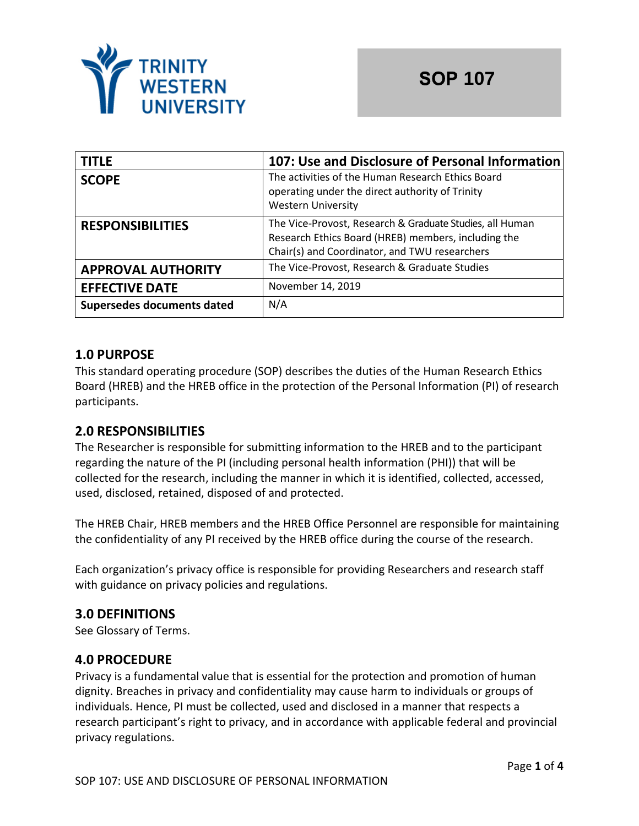

| <b>TITLE</b>               | 107: Use and Disclosure of Personal Information                                                                                                                  |  |
|----------------------------|------------------------------------------------------------------------------------------------------------------------------------------------------------------|--|
| <b>SCOPE</b>               | The activities of the Human Research Ethics Board<br>operating under the direct authority of Trinity<br><b>Western University</b>                                |  |
| <b>RESPONSIBILITIES</b>    | The Vice-Provost, Research & Graduate Studies, all Human<br>Research Ethics Board (HREB) members, including the<br>Chair(s) and Coordinator, and TWU researchers |  |
| <b>APPROVAL AUTHORITY</b>  | The Vice-Provost, Research & Graduate Studies                                                                                                                    |  |
| <b>EFFECTIVE DATE</b>      | November 14, 2019                                                                                                                                                |  |
| Supersedes documents dated | N/A                                                                                                                                                              |  |

# **1.0 PURPOSE**

This standard operating procedure (SOP) describes the duties of the Human Research Ethics Board (HREB) and the HREB office in the protection of the Personal Information (PI) of research participants.

## **2.0 RESPONSIBILITIES**

The Researcher is responsible for submitting information to the HREB and to the participant regarding the nature of the PI (including personal health information (PHI)) that will be collected for the research, including the manner in which it is identified, collected, accessed, used, disclosed, retained, disposed of and protected.

The HREB Chair, HREB members and the HREB Office Personnel are responsible for maintaining the confidentiality of any PI received by the HREB office during the course of the research.

Each organization's privacy office is responsible for providing Researchers and research staff with guidance on privacy policies and regulations.

## **3.0 DEFINITIONS**

See Glossary of Terms.

## **4.0 PROCEDURE**

Privacy is a fundamental value that is essential for the protection and promotion of human dignity. Breaches in privacy and confidentiality may cause harm to individuals or groups of individuals. Hence, PI must be collected, used and disclosed in a manner that respects a research participant's right to privacy, and in accordance with applicable federal and provincial privacy regulations.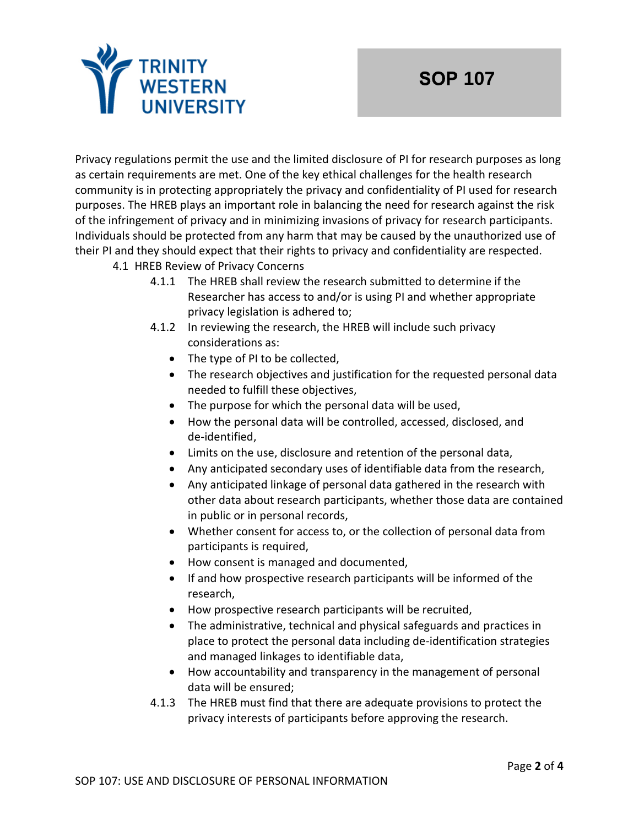

Privacy regulations permit the use and the limited disclosure of PI for research purposes as long as certain requirements are met. One of the key ethical challenges for the health research community is in protecting appropriately the privacy and confidentiality of PI used for research purposes. The HREB plays an important role in balancing the need for research against the risk of the infringement of privacy and in minimizing invasions of privacy for research participants. Individuals should be protected from any harm that may be caused by the unauthorized use of their PI and they should expect that their rights to privacy and confidentiality are respected.

- 4.1 HREB Review of Privacy Concerns
	- 4.1.1 The HREB shall review the research submitted to determine if the Researcher has access to and/or is using PI and whether appropriate privacy legislation is adhered to;
	- 4.1.2 In reviewing the research, the HREB will include such privacy considerations as:
		- The type of PI to be collected,
		- The research objectives and justification for the requested personal data needed to fulfill these objectives,
		- The purpose for which the personal data will be used,
		- How the personal data will be controlled, accessed, disclosed, and de-identified,
		- Limits on the use, disclosure and retention of the personal data,
		- Any anticipated secondary uses of identifiable data from the research,
		- Any anticipated linkage of personal data gathered in the research with other data about research participants, whether those data are contained in public or in personal records,
		- Whether consent for access to, or the collection of personal data from participants is required,
		- How consent is managed and documented,
		- If and how prospective research participants will be informed of the research,
		- How prospective research participants will be recruited,
		- The administrative, technical and physical safeguards and practices in place to protect the personal data including de-identification strategies and managed linkages to identifiable data,
		- How accountability and transparency in the management of personal data will be ensured;
	- 4.1.3 The HREB must find that there are adequate provisions to protect the privacy interests of participants before approving the research.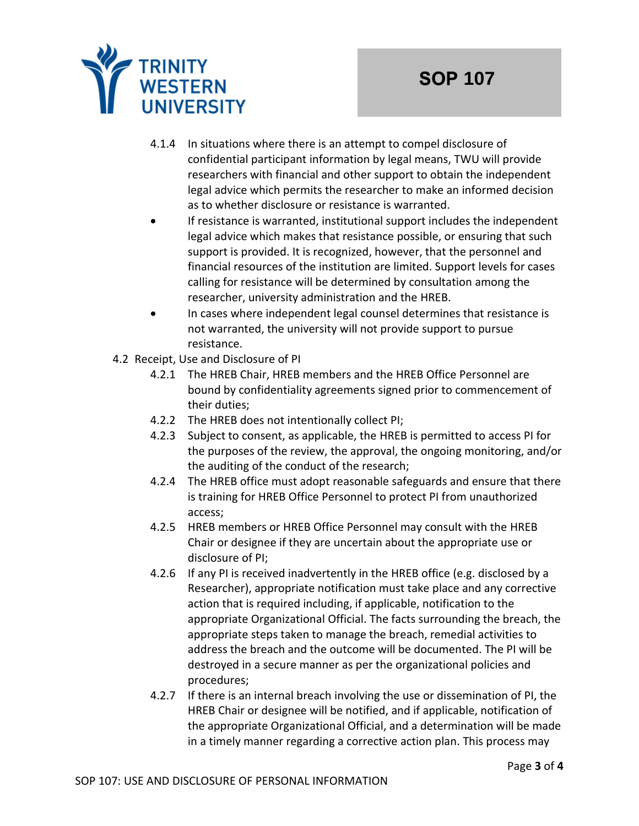

- 4.1.4 In situations where there is an attempt to compel disclosure of confidential participant information by legal means, TWU will provide researchers with financial and other support to obtain the independent legal advice which permits the researcher to make an informed decision as to whether disclosure or resistance is warranted.
- If resistance is warranted, institutional support includes the independent legal advice which makes that resistance possible, or ensuring that such support is provided. It is recognized, however, that the personnel and financial resources of the institution are limited. Support levels for cases calling for resistance will be determined by consultation among the researcher, university administration and the HREB.
- In cases where independent legal counsel determines that resistance is not warranted, the university will not provide support to pursue resistance.
- 4.2 Receipt, Use and Disclosure of PI
	- 4.2.1 The HREB Chair, HREB members and the HREB Office Personnel are bound by confidentiality agreements signed prior to commencement of their duties;
	- 4.2.2 The HREB does not intentionally collect PI;
	- 4.2.3 Subject to consent, as applicable, the HREB is permitted to access PI for the purposes of the review, the approval, the ongoing monitoring, and/or the auditing of the conduct of the research;
	- 4.2.4 The HREB office must adopt reasonable safeguards and ensure that there is training for HREB Office Personnel to protect PI from unauthorized access;
	- 4.2.5 HREB members or HREB Office Personnel may consult with the HREB Chair or designee if they are uncertain about the appropriate use or disclosure of PI;
	- 4.2.6 If any PI is received inadvertently in the HREB office (e.g. disclosed by a Researcher), appropriate notification must take place and any corrective action that is required including, if applicable, notification to the appropriate Organizational Official. The facts surrounding the breach, the appropriate steps taken to manage the breach, remedial activities to address the breach and the outcome will be documented. The PI will be destroyed in a secure manner as per the organizational policies and procedures;
	- 4.2.7 If there is an internal breach involving the use or dissemination of PI, the HREB Chair or designee will be notified, and if applicable, notification of the appropriate Organizational Official, and a determination will be made in a timely manner regarding a corrective action plan. This process may